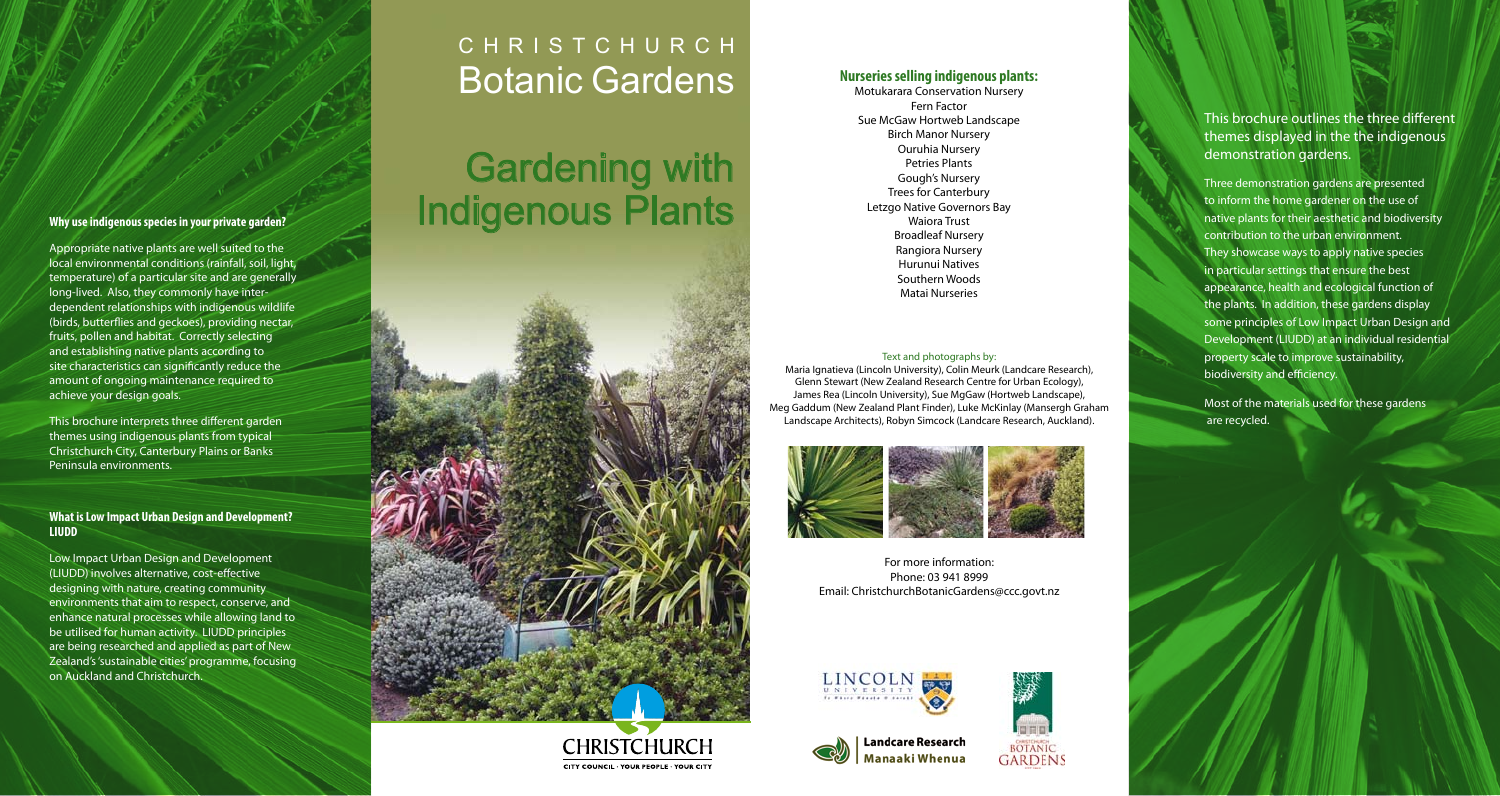### **Why use indigenous species in your private garden?**

Appropriate native plants are well suited to the local environmental conditions (rainfall, soil, light, temperature) of a particular site and are generally long-lived. Also, they commonly have interdependent relationships with indigenous wildlife (birds, butterflies and geckoes), providing nectar, fruits, pollen and habitat. Correctly selecting and establishing native plants according to site characteristics can significantly reduce the amount of ongoing maintenance required to achieve your design goals.

This brochure interprets three different garden themes using indigenous plants from typical Christchurch City, Canterbury Plains or Banks Peninsula environments.

### **What is Low Impact Urban Design and Development? LIUDD**

Low Impact Urban Design and Development (LIUDD) involves alternative, cost-effective designing with nature, creating community environments that aim to respect, conserve, and enhance natural processes while allowing land to be utilised for human activity. LIUDD principles are being researched and applied as part of New Zealand's 'sustainable cities' programme, focusing on Auckland and Christchurch.

# CHRISTCHURCH Botanic Gardens **Nurseries selling indigenous plants:**

# Gardening with Indigenous Plants





Motukarara Conservation Nursery Fern Factor Sue McGaw Hortweb Landscape Birch Manor Nursery Ouruhia Nursery Petries Plants Gough's Nursery Trees for Canterbury Letzgo Native Governors Bay Waiora Trust Broadleaf Nursery Rangiora Nursery Hurunui Natives Southern Woods Matai Nurseries

#### Text and photographs by:

Maria Ignatieva (Lincoln University), Colin Meurk (Landcare Research), Glenn Stewart (New Zealand Research Centre for Urban Ecology), James Rea (Lincoln University), Sue MgGaw (Hortweb Landscape), Meg Gaddum (New Zealand Plant Finder), Luke McKinlay (Mansergh Graham Landscape Architects), Robyn Simcock (Landcare Research, Auckland).



For more information: Phone: 03 941 8999 Email: ChristchurchBotanicGardens@ccc.govt.nz





**Landcare Research** Manaaki Whenua

**BOTANIC GARDENS** 

This brochure outlines the three different themes displayed in the the indigenous demonstration gardens.

Three demonstration gardens are presented to inform the home gardener on the use of native plants for their aesthetic and biodiversity contribution to the urban environment. They showcase ways to apply native species in particular settings that ensure the best appearance, health and ecological function of the plants. In addition, these gardens display some principles of Low Impact Urban Design and Development (LIUDD) at an individual residential property scale to improve sustainability, biodiversity and efficiency.

Most of the materials used for these gardens are recycled.